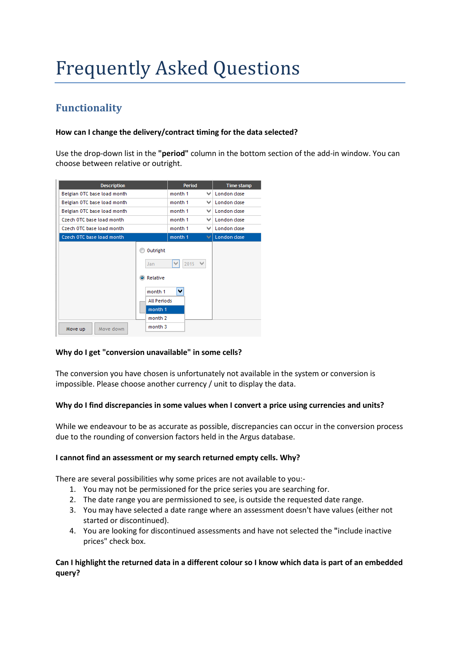# Frequently Asked Questions

# **Functionality**

#### **How can I change the delivery/contract timing for the data selected?**

Use the drop-down list in the **"period"** column in the bottom section of the add-in window. You can choose between relative or outright.



#### **Why do I get "conversion unavailable" in some cells?**

The conversion you have chosen is unfortunately not available in the system or conversion is impossible. Please choose another currency / unit to display the data.

#### **Why do I find discrepancies in some values when I convert a price using currencies and units?**

While we endeavour to be as accurate as possible, discrepancies can occur in the conversion process due to the rounding of conversion factors held in the Argus database.

#### **I cannot find an assessment or my search returned empty cells. Why?**

There are several possibilities why some prices are not available to you:-

- 1. You may not be permissioned for the price series you are searching for.
- 2. The date range you are permissioned to see, is outside the requested date range.
- 3. You may have selected a date range where an assessment doesn't have values (either not started or discontinued).
- 4. You are looking for discontinued assessments and have not selected the **"**include inactive prices" check box.

#### **Can I highlight the returned data in a different colour so I know which data is part of an embedded query?**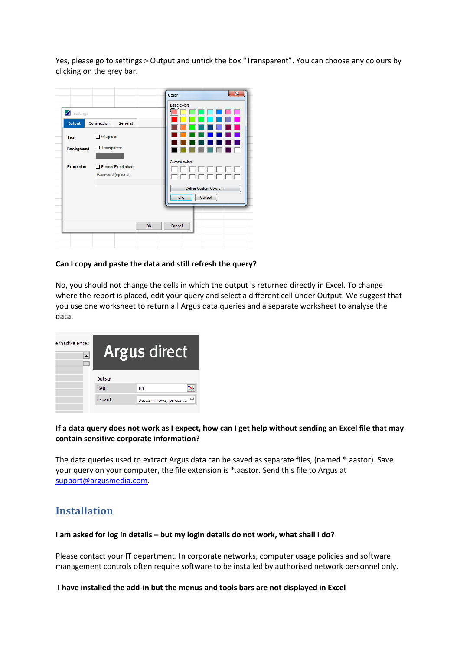Yes, please go to settings > Output and untick the box "Transparent". You can choose any colours by clicking on the grey bar.



#### **Can I copy and paste the data and still refresh the query?**

No, you should not change the cells in which the output is returned directly in Excel. To change where the report is placed, edit your query and select a different cell under Output. We suggest that you use one worksheet to return all Argus data queries and a separate worksheet to analyse the data.

| e inactive prices | Argus direct          |                           |  |  |  |
|-------------------|-----------------------|---------------------------|--|--|--|
|                   | <b>Output</b><br>Cell | <b>B1</b>                 |  |  |  |
|                   | Layout                | Dates in rows, prices i \ |  |  |  |

#### **If a data query does not work as I expect, how can I get help without sending an Excel file that may contain sensitive corporate information?**

The data queries used to extract Argus data can be saved as separate files, (named \*.aastor). Save your query on your computer, the file extension is \*.aastor. Send this file to Argus at [support@argusmedia.com.](mailto:support@argusmedia.com)

## **Installation**

#### **I am asked for log in details – but my login details do not work, what shall I do?**

Please contact your IT department. In corporate networks, computer usage policies and software management controls often require software to be installed by authorised network personnel only.

**I have installed the add-in but the menus and tools bars are not displayed in Excel**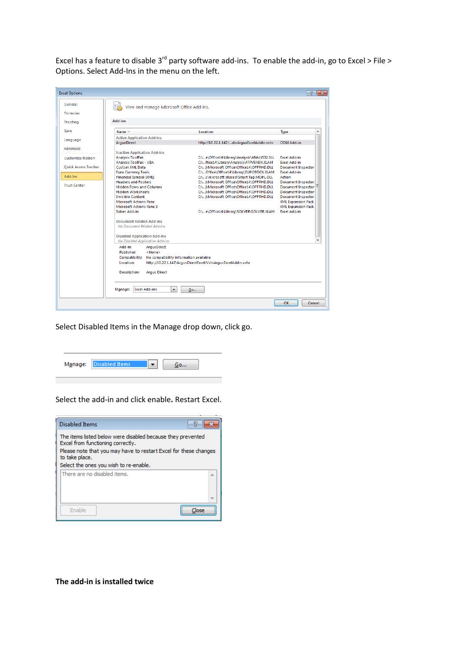Excel has a feature to disable  $3^{rd}$  party software add-ins. To enable the add-in, go to Excel > File > Options. Select Add-Ins in the menu on the left.

| General                                | View and manage Microsoft Office Add-ins.                                 |                                             |                           |  |  |
|----------------------------------------|---------------------------------------------------------------------------|---------------------------------------------|---------------------------|--|--|
| <b>Formulas</b>                        |                                                                           |                                             |                           |  |  |
| Proofing                               | <b>Add-ins</b>                                                            |                                             |                           |  |  |
| Save                                   | Name $-$                                                                  | Location                                    | Type                      |  |  |
| Language                               | <b>Active Application Add-ins</b>                                         |                                             |                           |  |  |
|                                        | <b>ArausDirect</b>                                                        | http://10.22.1.147/stoArgusExcelAddin.vsto  | COM Add-in                |  |  |
| Advanced                               |                                                                           |                                             |                           |  |  |
|                                        | <b>Inactive Application Add-ins</b>                                       |                                             |                           |  |  |
| <b>Customize Ribbon</b>                | <b>Analysis ToolPak</b>                                                   | C:\e\Office14\Library\Analysis\ANALYS32.XLL | <b>Excel Add-in</b>       |  |  |
|                                        | Analysis ToolPak - VBA                                                    | C:\ffice14\Library\Analysis\ATPVBAEN.XLAM   | Excel Add-in              |  |  |
| <b>Ouick Access Toolbar</b><br>Add-Ins | <b>Custom XML Data</b>                                                    | C:\)\Microsoft Office\Office14\OFFRHD.DLL   | <b>Document Inspector</b> |  |  |
|                                        | <b>Euro Currency Tools</b>                                                | C:\Office\Office14\Library\EUROTOOL.XLAM    | <b>Excel Add-in</b>       |  |  |
|                                        | <b>Financial Symbol (XML)</b>                                             | C:\s\microsoft shared\Smart Tag\MOFL.DLL    | Action                    |  |  |
|                                        | <b>Headers and Footers</b>                                                | C:\)\Microsoft Office\Office14\OFFRHD.DLL   | <b>Document Inspector</b> |  |  |
| <b>Trust Center</b>                    | <b>Hidden Rows and Columns</b>                                            | C:\)\Microsoft Office\Office14\OFFRHD.DLL   | Document Inspector        |  |  |
|                                        | <b>Hidden Worksheets</b>                                                  | C:\)\Microsoft Office\Office14\OFFRHD.DLL   | <b>Document Inspector</b> |  |  |
|                                        | <b>Invisible Content</b>                                                  | C:\)\Microsoft Office\Office14\OFFRHD.DLL   | <b>Document Inspector</b> |  |  |
|                                        | <b>Microsoft Actions Pane</b>                                             |                                             | <b>XML Expansion Pack</b> |  |  |
|                                        | <b>Microsoft Actions Pane 3</b>                                           |                                             | <b>XML Expansion Pack</b> |  |  |
|                                        | Solver Add-in                                                             | C:\e\Office14\Library\SOLVER\SOLVER.XLAM    | <b>Excel Add-in</b>       |  |  |
|                                        | <b>Document Related Add-ins</b>                                           |                                             |                           |  |  |
|                                        | No Document Related Add-ins                                               |                                             |                           |  |  |
|                                        | <b>Disabled Application Add-ins</b>                                       |                                             |                           |  |  |
|                                        | No Disabled Application Add-ins                                           |                                             |                           |  |  |
|                                        | Add-in:<br>ArgusDirect                                                    |                                             |                           |  |  |
|                                        | <b>Publisher:</b><br><none></none>                                        |                                             |                           |  |  |
|                                        | Compatibility:<br>No compatibility information available                  |                                             |                           |  |  |
|                                        | Location:<br>http://10.22.1.147/ArqusDirectExcel/VstoArqusExcelAddin.vsto |                                             |                           |  |  |
|                                        |                                                                           |                                             |                           |  |  |
|                                        | Description:<br><b>Argus Direct</b>                                       |                                             |                           |  |  |
|                                        |                                                                           |                                             |                           |  |  |
|                                        | <b>Excel Add-ins</b><br>Manage:<br>۰                                      | Go                                          |                           |  |  |

Select Disabled Items in the Manage drop down, click go.



Select the add-in and click enable**.** Restart Excel.



**The add-in is installed twice**